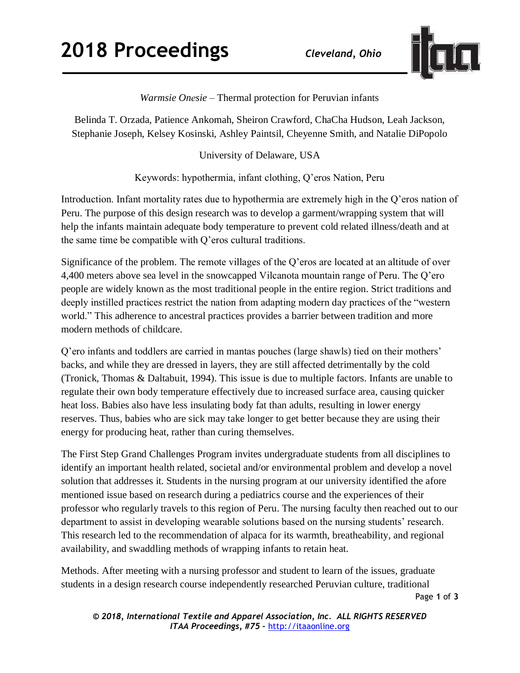

*Warmsie Onesie* – Thermal protection for Peruvian infants

Belinda T. Orzada, Patience Ankomah, Sheiron Crawford, ChaCha Hudson, Leah Jackson, Stephanie Joseph, Kelsey Kosinski, Ashley Paintsil, Cheyenne Smith, and Natalie DiPopolo

University of Delaware, USA

Keywords: hypothermia, infant clothing, Q'eros Nation, Peru

Introduction. Infant mortality rates due to hypothermia are extremely high in the Q'eros nation of Peru. The purpose of this design research was to develop a garment/wrapping system that will help the infants maintain adequate body temperature to prevent cold related illness/death and at the same time be compatible with Q'eros cultural traditions.

Significance of the problem. The remote villages of the Q'eros are located at an altitude of over 4,400 meters above sea level in the snowcapped Vilcanota mountain range of Peru. The Q'ero people are widely known as the most traditional people in the entire region. Strict traditions and deeply instilled practices restrict the nation from adapting modern day practices of the "western world." This adherence to ancestral practices provides a barrier between tradition and more modern methods of childcare.

Q'ero infants and toddlers are carried in mantas pouches (large shawls) tied on their mothers' backs, and while they are dressed in layers, they are still affected detrimentally by the cold (Tronick, Thomas & Daltabuit, 1994). This issue is due to multiple factors. Infants are unable to regulate their own body temperature effectively due to increased surface area, causing quicker heat loss. Babies also have less insulating body fat than adults, resulting in lower energy reserves. Thus, babies who are sick may take longer to get better because they are using their energy for producing heat, rather than curing themselves.

The First Step Grand Challenges Program invites undergraduate students from all disciplines to identify an important health related, societal and/or environmental problem and develop a novel solution that addresses it. Students in the nursing program at our university identified the afore mentioned issue based on research during a pediatrics course and the experiences of their professor who regularly travels to this region of Peru. The nursing faculty then reached out to our department to assist in developing wearable solutions based on the nursing students' research. This research led to the recommendation of alpaca for its warmth, breatheability, and regional availability, and swaddling methods of wrapping infants to retain heat.

Page **1** of **3** Methods. After meeting with a nursing professor and student to learn of the issues, graduate students in a design research course independently researched Peruvian culture, traditional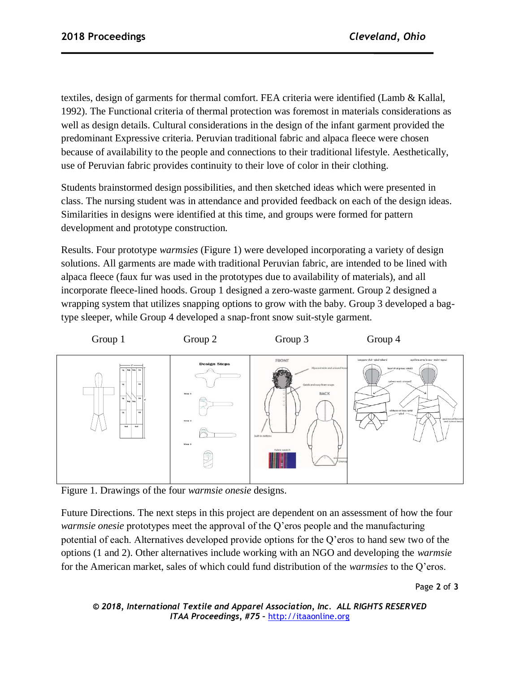textiles, design of garments for thermal comfort. FEA criteria were identified (Lamb & Kallal, 1992). The Functional criteria of thermal protection was foremost in materials considerations as well as design details. Cultural considerations in the design of the infant garment provided the predominant Expressive criteria. Peruvian traditional fabric and alpaca fleece were chosen because of availability to the people and connections to their traditional lifestyle. Aesthetically, use of Peruvian fabric provides continuity to their love of color in their clothing.

Students brainstormed design possibilities, and then sketched ideas which were presented in class. The nursing student was in attendance and provided feedback on each of the design ideas. Similarities in designs were identified at this time, and groups were formed for pattern development and prototype construction.

Results. Four prototype *warmsies* (Figure 1) were developed incorporating a variety of design solutions. All garments are made with traditional Peruvian fabric, are intended to be lined with alpaca fleece (faux fur was used in the prototypes due to availability of materials), and all incorporate fleece-lined hoods. Group 1 designed a zero-waste garment. Group 2 designed a wrapping system that utilizes snapping options to grow with the baby. Group 3 developed a bagtype sleeper, while Group 4 developed a snap-front snow suit-style garment.



Figure 1. Drawings of the four *warmsie onesie* designs.

Future Directions. The next steps in this project are dependent on an assessment of how the four *warmsie onesie* prototypes meet the approval of the Q'eros people and the manufacturing potential of each. Alternatives developed provide options for the Q'eros to hand sew two of the options (1 and 2). Other alternatives include working with an NGO and developing the *warmsie* for the American market, sales of which could fund distribution of the *warmsies* to the Q'eros.

Page **2** of **3**

```
© 2018, International Textile and Apparel Association, Inc. ALL RIGHTS RESERVED
      ITAA Proceedings, #75 – http://itaaonline.org
```